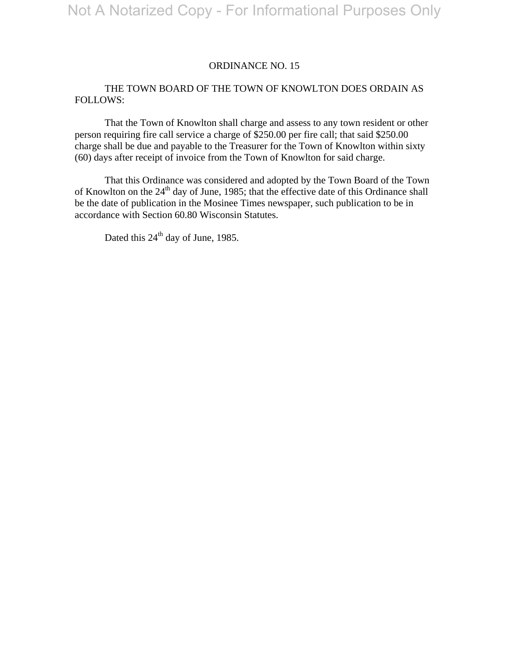#### ORDINANCE NO. 15

## THE TOWN BOARD OF THE TOWN OF KNOWLTON DOES ORDAIN AS FOLLOWS:

 That the Town of Knowlton shall charge and assess to any town resident or other person requiring fire call service a charge of \$250.00 per fire call; that said \$250.00 charge shall be due and payable to the Treasurer for the Town of Knowlton within sixty (60) days after receipt of invoice from the Town of Knowlton for said charge.

 That this Ordinance was considered and adopted by the Town Board of the Town of Knowlton on the  $24<sup>th</sup>$  day of June, 1985; that the effective date of this Ordinance shall be the date of publication in the Mosinee Times newspaper, such publication to be in accordance with Section 60.80 Wisconsin Statutes.

Dated this 24<sup>th</sup> day of June, 1985.